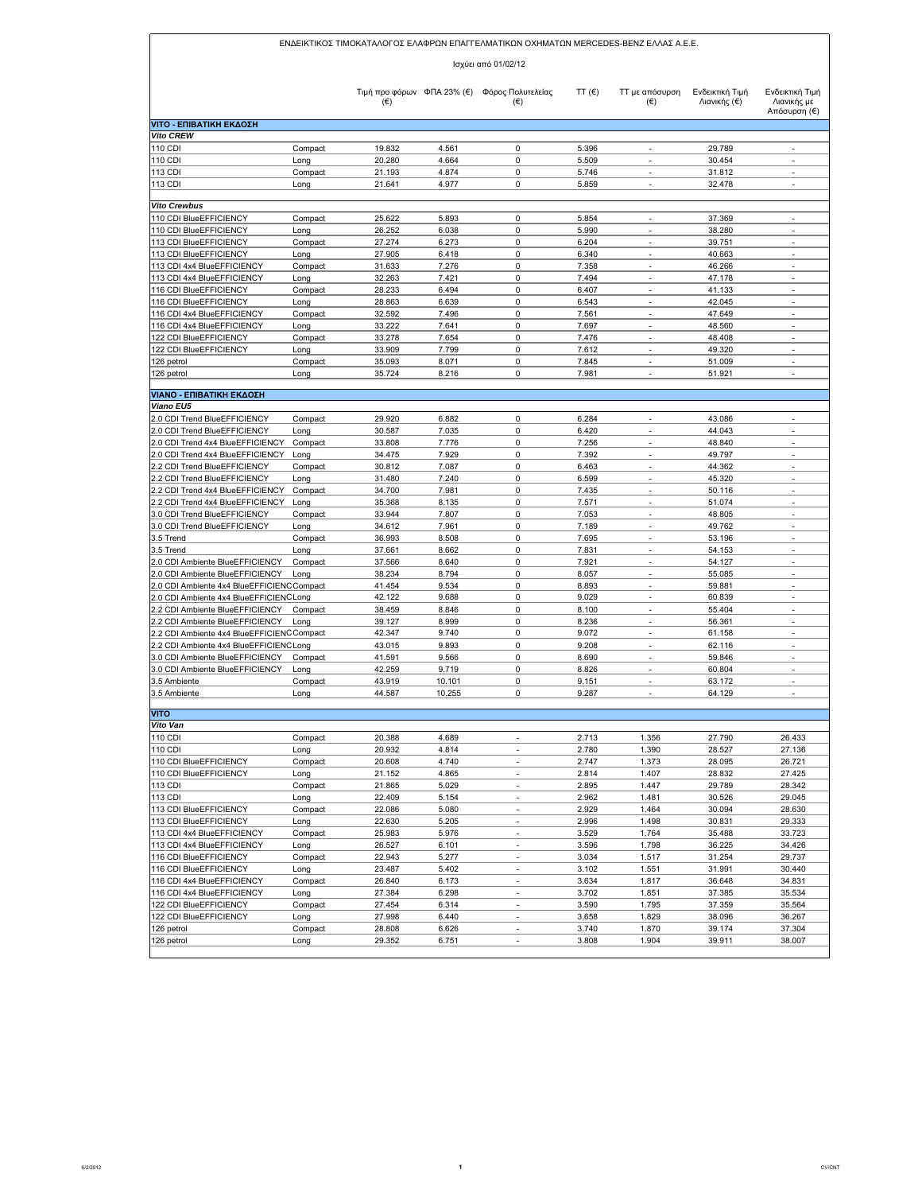|                                                                    |                     |                                       |                 | ΕΝΔΕΙΚΤΙΚΟΣ ΤΙΜΟΚΑΤΑΛΟΓΟΣ ΕΛΑΦΡΩΝ ΕΠΑΓΓΕΛΜΑΤΙΚΩΝ ΟΧΗΜΑΤΩΝ ΜΕRCEDES-ΒΕΝΖ ΕΛΛΑΣ Α.Ε.Ε. |                 |                                            |                                 |                                                      |  |
|--------------------------------------------------------------------|---------------------|---------------------------------------|-----------------|--------------------------------------------------------------------------------------|-----------------|--------------------------------------------|---------------------------------|------------------------------------------------------|--|
|                                                                    | Ισχύει από 01/02/12 |                                       |                 |                                                                                      |                 |                                            |                                 |                                                      |  |
|                                                                    |                     | Τιμή προ φόρων ΦΠΑ 23% (€)<br>$(\in)$ |                 | Φόρος Πολυτελείας<br>$(\in)$                                                         | TT $(\epsilon)$ | <b>TT</b> με απόσυρση<br>$(\epsilon)$      | Ενδεικτική Τιμή<br>Λιανικής (€) | Ενδεικτική Τιμή<br>Λιανικής με<br>Απόσυρση (€)       |  |
| <b>VITO - ΕΠΙΒΑΤΙΚΗ ΕΚΔΟΣΗ</b>                                     |                     |                                       |                 |                                                                                      |                 |                                            |                                 |                                                      |  |
| <b>Vito CREW</b><br>110 CDI                                        | Compact             | 19.832                                | 4.561           | $\mathbf 0$                                                                          | 5.396           | $\overline{a}$                             | 29.789                          | $\overline{a}$                                       |  |
| 110 CDI                                                            | Long                | 20.280                                | 4.664           | 0                                                                                    | 5.509           | $\overline{a}$                             | 30.454                          | $\overline{a}$                                       |  |
| 113 CDI                                                            | Compact             | 21.193                                | 4.874           | 0                                                                                    | 5.746           | $\frac{1}{2}$                              | 31.812                          | $\overline{\phantom{a}}$                             |  |
| 113 CDI                                                            | Long                | 21.641                                | 4.977           | 0                                                                                    | 5.859           | $\overline{\phantom{a}}$                   | 32.478                          | $\overline{a}$                                       |  |
|                                                                    |                     |                                       |                 |                                                                                      |                 |                                            |                                 |                                                      |  |
| <b>Vito Crewbus</b>                                                |                     |                                       |                 |                                                                                      |                 |                                            |                                 |                                                      |  |
| 110 CDI BlueEFFICIENCY<br>110 CDI BlueEFFICIENCY                   | Compact<br>Long     | 25.622<br>26.252                      | 5.893<br>6.038  | $\mathsf 0$<br>$\mathsf 0$                                                           | 5.854<br>5.990  | $\overline{\phantom{a}}$<br>$\overline{a}$ | 37.369<br>38.280                | $\overline{\phantom{a}}$<br>$\overline{\phantom{a}}$ |  |
| 113 CDI BlueEFFICIENCY                                             | Compact             | 27.274                                | 6.273           | 0                                                                                    | 6.204           | $\overline{a}$                             | 39.751                          | $\overline{a}$                                       |  |
| 113 CDI BlueEFFICIENCY                                             | Long                | 27.905                                | 6.418           | 0                                                                                    | 6.340           | $\overline{\phantom{a}}$                   | 40.663                          | $\overline{\phantom{a}}$                             |  |
| 113 CDI 4x4 BlueEFFICIENCY                                         | Compact             | 31.633                                | 7.276           | 0                                                                                    | 7.358           | ٠                                          | 46.266                          | $\overline{a}$                                       |  |
| 113 CDI 4x4 BlueEFFICIENCY                                         | Long                | 32.263                                | 7.421           | 0                                                                                    | 7.494           | $\overline{a}$                             | 47.178                          | $\overline{a}$                                       |  |
| 116 CDI BlueEFFICIENCY                                             | Compact             | 28.233                                | 6.494           | $\mathbf 0$                                                                          | 6.407           | ÷                                          | 41.133                          | $\overline{a}$                                       |  |
| 116 CDI BlueEFFICIENCY                                             | Long                | 28.863                                | 6.639           | $\mathsf 0$                                                                          | 6.543           | $\overline{\phantom{a}}$                   | 42.045                          | $\overline{a}$                                       |  |
| 116 CDI 4x4 BlueEFFICIENCY                                         | Compact             | 32.592                                | 7.496           | $\mathsf 0$                                                                          | 7.561           | $\overline{a}$                             | 47.649                          | ÷,                                                   |  |
| 116 CDI 4x4 BlueEFFICIENCY                                         | Long                | 33.222                                | 7.641           | $\mathsf 0$                                                                          | 7.697           | $\overline{\phantom{a}}$                   | 48.560                          | $\overline{\phantom{a}}$                             |  |
| 122 CDI BlueEFFICIENCY                                             | Compact             | 33.278                                | 7.654           | $\mathsf 0$<br>$\mathbf 0$                                                           | 7.476<br>7.612  | ÷,                                         | 48.408<br>49.320                | $\overline{a}$<br>$\overline{a}$                     |  |
| 122 CDI BlueEFFICIENCY<br>126 petrol                               | Long<br>Compact     | 33.909<br>35.093                      | 7.799<br>8.071  | $\mathsf 0$                                                                          | 7.845           | $\overline{\phantom{a}}$                   | 51.009                          | $\overline{\phantom{a}}$                             |  |
| 126 petrol                                                         | Long                | 35.724                                | 8.216           | $\mathsf 0$                                                                          | 7.981           |                                            | 51.921                          | $\overline{a}$                                       |  |
|                                                                    |                     |                                       |                 |                                                                                      |                 |                                            |                                 |                                                      |  |
| <b>VIANO - ΕΠΙΒΑΤΙΚΗ ΕΚΔΟΣΗ</b>                                    |                     |                                       |                 |                                                                                      |                 |                                            |                                 |                                                      |  |
| Viano EU5                                                          |                     |                                       |                 |                                                                                      |                 |                                            |                                 |                                                      |  |
| 2.0 CDI Trend BlueEFFICIENCY                                       | Compact             | 29.920                                | 6.882           | $\pmb{0}$                                                                            | 6.284           | $\overline{\phantom{a}}$                   | 43.086                          | ÷                                                    |  |
| 2.0 CDI Trend BlueEFFICIENCY<br>2.0 CDI Trend 4x4 BlueEFFICIENCY   | Long<br>Compact     | 30.587<br>33.808                      | 7.035<br>7.776  | 0<br>0                                                                               | 6.420<br>7.256  | ÷<br>÷,                                    | 44.043<br>48.840                | $\overline{a}$<br>$\overline{\phantom{a}}$           |  |
| 2.0 CDI Trend 4x4 BlueEFFICIENCY                                   | Long                | 34.475                                | 7.929           | $\pmb{0}$                                                                            | 7.392           | $\overline{a}$                             | 49.797                          | $\overline{a}$                                       |  |
| 2.2 CDI Trend BlueEFFICIENCY                                       | Compact             | 30.812                                | 7.087           | 0                                                                                    | 6.463           | ÷                                          | 44.362                          | $\overline{a}$                                       |  |
| 2.2 CDI Trend BlueEFFICIENCY                                       | Long                | 31.480                                | 7.240           | 0                                                                                    | 6.599           | $\overline{a}$                             | 45.320                          | $\overline{a}$                                       |  |
| 2.2 CDI Trend 4x4 BlueEFFICIENCY                                   | Compact             | 34.700                                | 7.981           | $\mathsf 0$                                                                          | 7.435           | ٠                                          | 50.116                          | $\overline{a}$                                       |  |
| 2.2 CDI Trend 4x4 BlueEFFICIENCY                                   | Long                | 35.368                                | 8.135           | $\mathsf 0$                                                                          | 7.571           | $\overline{\phantom{a}}$                   | 51.074                          | $\overline{\phantom{a}}$                             |  |
| 3.0 CDI Trend BlueEFFICIENCY                                       | Compact             | 33.944                                | 7.807           | $\mathbf 0$                                                                          | 7.053           |                                            | 48.805                          | $\overline{a}$                                       |  |
| 3.0 CDI Trend BlueEFFICIENCY                                       | Long                | 34.612                                | 7.961           | $\mathbf 0$                                                                          | 7.189           | ÷,                                         | 49.762                          | $\overline{\phantom{a}}$                             |  |
| 3.5 Trend                                                          | Compact             | 36.993                                | 8.508           | $\mathsf 0$                                                                          | 7.695           | $\overline{\phantom{a}}$                   | 53.196                          | $\overline{\phantom{a}}$                             |  |
| 3.5 Trend                                                          | Long                | 37.661                                | 8.662           | $\pmb{0}$<br>$\mathsf 0$                                                             | 7.831           | ÷,<br>$\overline{\phantom{a}}$             | 54.153                          | $\overline{a}$<br>$\overline{a}$                     |  |
| 2.0 CDI Ambiente BlueEFFICIENCY<br>2.0 CDI Ambiente BlueEFFICIENCY | Compact<br>Long     | 37.566<br>38.234                      | 8.640<br>8.794  | $\mathsf 0$                                                                          | 7.921<br>8.057  | $\overline{a}$                             | 54.127<br>55.085                | $\overline{\phantom{a}}$                             |  |
| 2.0 CDI Ambiente 4x4 BlueEFFICIENC Compact                         |                     | 41.454                                | 9.534           | 0                                                                                    | 8.893           | $\overline{a}$                             | 59.881                          | ٠                                                    |  |
| 2.0 CDI Ambiente 4x4 BlueEFFICIENC Long                            |                     | 42.122                                | 9.688           | 0                                                                                    | 9.029           | $\overline{\phantom{a}}$                   | 60.839                          | $\overline{\phantom{a}}$                             |  |
| 2.2 CDI Ambiente BlueEFFICIENCY                                    | Compact             | 38.459                                | 8.846           | $\mathsf 0$                                                                          | 8.100           | $\overline{\phantom{a}}$                   | 55.404                          | $\overline{\phantom{a}}$                             |  |
| 2.2 CDI Ambiente BlueEFFICIENCY                                    | Long                | 39.127                                | 8.999           | $\mathsf 0$                                                                          | 8.236           | ٠                                          | 56.361                          | ÷,                                                   |  |
| 2.2 CDI Ambiente 4x4 BlueEFFICIENC Compact                         |                     | 42.347                                | 9.740           | 0                                                                                    | 9.072           | $\overline{\phantom{a}}$                   | 61.158                          | ÷                                                    |  |
| 2.2 CDI Ambiente 4x4 BlueEFFICIENC Long                            |                     | 43.015                                | 9.893           | $\mathsf 0$                                                                          | 9.208           | $\overline{\phantom{a}}$                   | 62.116                          | $\overline{a}$                                       |  |
| 3.0 CDI Ambiente BlueEFFICIENCY                                    | Compact             | 41.591                                | 9.566           | 0                                                                                    | 8.690           | ٠                                          | 59.846                          | $\overline{a}$                                       |  |
| 3.0 CDI Ambiente BlueEFFICIENCY<br>3.5 Ambiente                    | Long<br>Compact     | 42.259<br>43.919                      | 9.719<br>10.101 | 0<br>0                                                                               | 8.826<br>9.151  | $\overline{\phantom{a}}$                   | 60.804<br>63.172                | $\overline{\phantom{a}}$                             |  |
| 3.5 Ambiente                                                       | Long                | 44.587                                | 10.255          | $\mathbf 0$                                                                          | 9.287           | ٠                                          | 64.129                          | $\overline{\phantom{a}}$                             |  |
|                                                                    |                     |                                       |                 |                                                                                      |                 |                                            |                                 |                                                      |  |
| <b>VITO</b>                                                        |                     |                                       |                 |                                                                                      |                 |                                            |                                 |                                                      |  |
| Vito Van                                                           |                     |                                       |                 |                                                                                      |                 |                                            |                                 |                                                      |  |
| 110 CDI<br>110 CDI                                                 | Compact             | 20.388<br>20.932                      | 4.689<br>4.814  | $\overline{\phantom{a}}$<br>$\blacksquare$                                           | 2.713<br>2.780  | 1.356<br>1.390                             | 27.790<br>28.527                | 26.433<br>27.136                                     |  |
| 110 CDI BlueEFFICIENCY                                             | Long<br>Compact     | 20.608                                | 4.740           | $\overline{a}$                                                                       | 2.747           | 1.373                                      | 28.095                          | 26.721                                               |  |
| 110 CDI BlueEFFICIENCY                                             | Long                | 21.152                                | 4.865           | $\overline{\phantom{a}}$                                                             | 2.814           | 1.407                                      | 28.832                          | 27.425                                               |  |
| 113 CDI                                                            | Compact             | 21.865                                | 5.029           | $\overline{\phantom{a}}$                                                             | 2.895           | 1.447                                      | 29.789                          | 28.342                                               |  |
| 113 CDI                                                            | Long                | 22.409                                | 5.154           | $\blacksquare$                                                                       | 2.962           | 1.481                                      | 30.526                          | 29.045                                               |  |
| 113 CDI BlueEFFICIENCY                                             | Compact             | 22.086                                | 5.080           | $\overline{\phantom{a}}$                                                             | 2.929           | 1.464                                      | 30.094                          | 28.630                                               |  |
| 113 CDI BlueEFFICIENCY                                             | Long                | 22.630                                | 5.205           | $\overline{\phantom{a}}$                                                             | 2.996           | 1.498                                      | 30.831                          | 29.333                                               |  |
| 113 CDI 4x4 BlueEFFICIENCY                                         | Compact             | 25.983                                | 5.976           | $\overline{\phantom{a}}$                                                             | 3.529           | 1.764                                      | 35.488                          | 33.723                                               |  |
| 113 CDI 4x4 BlueEFFICIENCY                                         | Long                | 26.527                                | 6.101           | $\overline{\phantom{a}}$                                                             | 3.596           | 1.798                                      | 36.225                          | 34.426                                               |  |
| 116 CDI BlueEFFICIENCY<br>116 CDI BlueEFFICIENCY                   | Compact             | 22.943                                | 5.277           | $\overline{\phantom{a}}$<br>$\overline{\phantom{a}}$                                 | 3.034           | 1.517                                      | 31.254                          | 29.737                                               |  |
| 116 CDI 4x4 BlueEFFICIENCY                                         | Long<br>Compact     | 23.487<br>26.840                      | 5.402<br>6.173  | $\overline{\phantom{a}}$                                                             | 3.102<br>3.634  | 1.551<br>1.817                             | 31.991<br>36.648                | 30.440<br>34.831                                     |  |
| 116 CDI 4x4 BlueEFFICIENCY                                         | Long                | 27.384                                | 6.298           | ÷                                                                                    | 3.702           | 1.851                                      | 37.385                          | 35.534                                               |  |
| 122 CDI BlueEFFICIENCY                                             | Compact             | 27.454                                | 6.314           | $\overline{\phantom{a}}$                                                             | 3.590           | 1.795                                      | 37.359                          | 35.564                                               |  |
| 122 CDI BlueEFFICIENCY                                             | Long                | 27.998                                | 6.440           | $\overline{\phantom{a}}$                                                             | 3.658           | 1.829                                      | 38.096                          | 36.267                                               |  |
| 126 petrol                                                         | Compact             | 28.808                                | 6.626           |                                                                                      | 3.740           | 1.870                                      | 39.174                          | 37.304                                               |  |
| 126 petrol                                                         | Long                | 29.352                                | 6.751           | $\overline{a}$                                                                       | 3.808           | 1.904                                      | 39.911                          | 38.007                                               |  |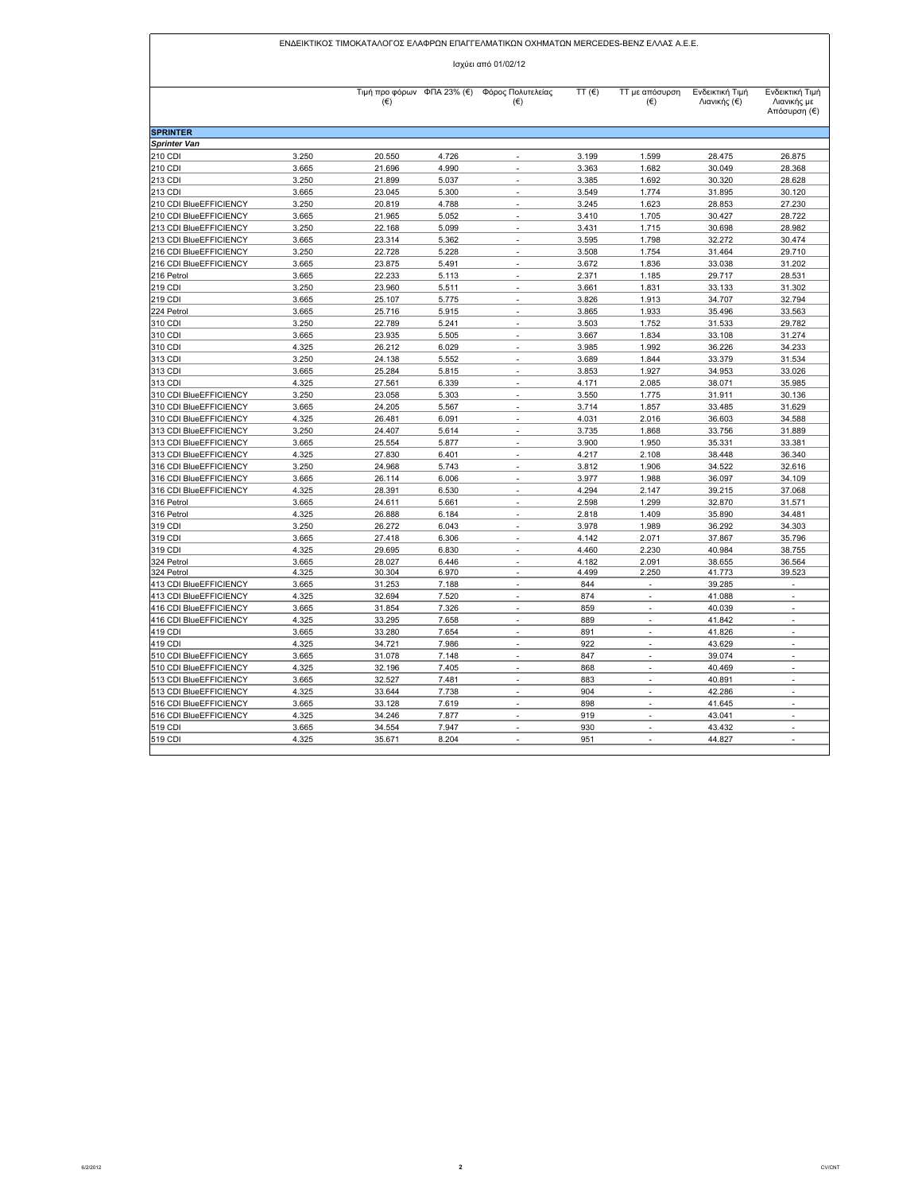| ΕΝΔΕΙΚΤΙΚΟΣ ΤΙΜΟΚΑΤΑΛΟΓΟΣ ΕΛΑΦΡΩΝ ΕΠΑΓΓΕΛΜΑΤΙΚΩΝ ΟΧΗΜΑΤΩΝ MERCEDES-BENZ ΕΛΛΑΣ Α.Ε.Ε. |                |                  |                |                                                         |                |                                            |                                 |                                                |  |
|--------------------------------------------------------------------------------------|----------------|------------------|----------------|---------------------------------------------------------|----------------|--------------------------------------------|---------------------------------|------------------------------------------------|--|
| Ισχύει από 01/02/12                                                                  |                |                  |                |                                                         |                |                                            |                                 |                                                |  |
|                                                                                      |                | $(\in)$          |                | Τιμή προ φόρων ΦΠΑ 23% (€) Φόρος Πολυτελείας<br>$(\in)$ | TT $(E)$       | <b>TT</b> με απόσυρση<br>$(\epsilon)$      | Ενδεικτική Τιμή<br>Λιανικής (€) | Ενδεικτική Τιμή<br>Λιανικής με<br>Απόσυρση (€) |  |
| <b>SPRINTER</b>                                                                      |                |                  |                |                                                         |                |                                            |                                 |                                                |  |
| <b>Sprinter Van</b>                                                                  |                |                  |                |                                                         |                |                                            |                                 |                                                |  |
| 210 CDI                                                                              | 3.250          | 20.550           | 4.726          |                                                         | 3.199          | 1.599                                      | 28.475                          | 26.875                                         |  |
| 210 CDI                                                                              | 3.665          | 21.696           | 4.990          | $\sim$                                                  | 3.363          | 1.682                                      | 30.049                          | 28.368                                         |  |
| 213 CDI                                                                              | 3.250          | 21.899           | 5.037          | $\overline{a}$                                          | 3.385          | 1.692                                      | 30.320                          | 28.628                                         |  |
| 213 CDI                                                                              | 3.665          | 23.045           | 5.300          | $\overline{\phantom{a}}$                                | 3.549          | 1.774                                      | 31.895                          | 30.120                                         |  |
| 210 CDI BlueEFFICIENCY                                                               | 3.250          | 20.819           | 4.788          | $\sim$                                                  | 3.245          | 1.623                                      | 28.853                          | 27.230                                         |  |
| 210 CDI BlueEFFICIENCY                                                               | 3.665          | 21.965           | 5.052          | $\overline{\phantom{a}}$<br>$\overline{a}$              | 3.410<br>3.431 | 1.705                                      | 30.427                          | 28.722                                         |  |
| 213 CDI BlueEFFICIENCY<br>213 CDI BlueEFFICIENCY                                     | 3.250<br>3.665 | 22.168<br>23.314 | 5.099<br>5.362 | $\overline{a}$                                          | 3.595          | 1.715<br>1.798                             | 30.698<br>32.272                | 28.982<br>30.474                               |  |
|                                                                                      |                | 22.728           |                | $\overline{a}$                                          |                |                                            |                                 |                                                |  |
| 216 CDI BlueEFFICIENCY<br>216 CDI BlueEFFICIENCY                                     | 3.250<br>3.665 | 23.875           | 5.228<br>5.491 | $\overline{\phantom{a}}$                                | 3.508<br>3.672 | 1.754<br>1.836                             | 31.464<br>33.038                | 29.710<br>31.202                               |  |
| 216 Petrol                                                                           | 3.665          | 22.233           | 5.113          | $\overline{\phantom{a}}$                                | 2.371          | 1.185                                      | 29.717                          | 28.531                                         |  |
| 219 CDI                                                                              | 3.250          | 23.960           | 5.511          | $\overline{\phantom{a}}$                                | 3.661          | 1.831                                      | 33.133                          | 31.302                                         |  |
| 219 CDI                                                                              | 3.665          | 25.107           | 5.775          | $\sim$                                                  | 3.826          | 1.913                                      | 34.707                          | 32.794                                         |  |
| 224 Petrol                                                                           | 3.665          | 25.716           | 5.915          | $\overline{\phantom{a}}$                                | 3.865          | 1.933                                      | 35.496                          | 33.563                                         |  |
| 310 CDI                                                                              | 3.250          | 22.789           | 5.241          | ÷,                                                      | 3.503          | 1.752                                      | 31.533                          | 29.782                                         |  |
| 310 CDI                                                                              | 3.665          | 23.935           | 5.505          | ÷                                                       | 3.667          | 1.834                                      | 33.108                          | 31.274                                         |  |
| 310 CDI                                                                              | 4.325          | 26.212           | 6.029          | $\overline{a}$                                          | 3.985          | 1.992                                      | 36.226                          | 34.233                                         |  |
| 313 CDI                                                                              | 3.250          | 24.138           | 5.552          | $\overline{\phantom{a}}$                                | 3.689          | 1.844                                      | 33.379                          | 31.534                                         |  |
| 313 CDI                                                                              | 3.665          | 25.284           | 5.815          | $\sim$                                                  | 3.853          | 1.927                                      | 34.953                          | 33.026                                         |  |
| 313 CDI                                                                              | 4.325          | 27.561           | 6.339          | $\overline{\phantom{a}}$                                | 4.171          | 2.085                                      | 38.071                          | 35.985                                         |  |
| 310 CDI BlueEFFICIENCY                                                               | 3.250          | 23.058           | 5.303          | ٠                                                       | 3.550          | 1.775                                      | 31.911                          | 30.136                                         |  |
| 310 CDI BlueEFFICIENCY                                                               | 3.665          | 24.205           | 5.567          |                                                         | 3.714          | 1.857                                      | 33.485                          | 31.629                                         |  |
| 310 CDI BlueEFFICIENCY                                                               | 4.325          | 26.481           | 6.091          | $\overline{a}$                                          | 4.031          | 2.016                                      | 36.603                          | 34.588                                         |  |
| 313 CDI BlueEFFICIENCY                                                               | 3.250          | 24.407           | 5.614          | ÷,                                                      | 3.735          | 1.868                                      | 33.756                          | 31.889                                         |  |
| 313 CDI BlueEFFICIENCY                                                               | 3.665          | 25.554           | 5.877          | $\overline{\phantom{a}}$                                | 3.900          | 1.950                                      | 35.331                          | 33.381                                         |  |
| 313 CDI BlueEFFICIENCY                                                               | 4.325          | 27,830           | 6.401          | $\overline{\phantom{a}}$                                | 4.217          | 2.108                                      | 38.448                          | 36.340                                         |  |
| 316 CDI BlueEFFICIENCY                                                               | 3.250          | 24.968           | 5.743          | ٠                                                       | 3.812          | 1.906                                      | 34.522                          | 32.616                                         |  |
| 316 CDI BlueEFFICIENCY                                                               | 3.665          | 26.114           | 6.006          | ÷                                                       | 3.977          | 1.988                                      | 36.097                          | 34.109                                         |  |
| 316 CDI BlueEFFICIENCY                                                               | 4.325          | 28.391           | 6.530          | $\sim$                                                  | 4.294          | 2.147                                      | 39.215                          | 37.068                                         |  |
| 316 Petrol                                                                           | 3.665          | 24.611           | 5.661          |                                                         | 2.598          | 1.299                                      | 32.870                          | 31.571                                         |  |
| 316 Petrol                                                                           | 4.325          | 26.888           | 6.184          | ÷,                                                      | 2.818          | 1.409                                      | 35.890                          | 34.481                                         |  |
| 319 CDI                                                                              | 3.250          | 26.272           | 6.043          | $\overline{\phantom{a}}$                                | 3.978          | 1.989                                      | 36.292                          | 34.303                                         |  |
| 319 CDI                                                                              | 3.665          | 27.418           | 6.306          | $\overline{\phantom{a}}$                                | 4.142          | 2.071                                      | 37.867                          | 35.796                                         |  |
| 319 CDI                                                                              | 4.325          | 29.695           | 6.830          | $\overline{\phantom{a}}$                                | 4.460          | 2.230                                      | 40.984                          | 38.755                                         |  |
| 324 Petrol                                                                           | 3.665          | 28.027           | 6.446          | $\sim$                                                  | 4.182          | 2.091                                      | 38.655                          | 36.564                                         |  |
| 324 Petrol                                                                           | 4.325          | 30.304           | 6.970          | ÷,                                                      | 4.499          | 2.250                                      | 41.773                          | 39.523                                         |  |
| 413 CDI BlueEFFICIENCY                                                               | 3.665          | 31.253           | 7.188          | $\overline{\phantom{a}}$                                | 844            | $\overline{\phantom{a}}$                   | 39.285                          | $\overline{\phantom{a}}$                       |  |
| 413 CDI BlueEFFICIENCY                                                               | 4.325          | 32.694           | 7.520          | $\overline{a}$                                          | 874            | ÷,                                         | 41.088                          | $\overline{a}$                                 |  |
| 416 CDI BlueEFFICIENCY                                                               | 3.665          | 31.854           | 7.326          | $\overline{\phantom{a}}$<br>$\overline{\phantom{a}}$    | 859            | $\overline{\phantom{a}}$<br>÷,             | 40.039                          | $\overline{\phantom{a}}$<br>÷                  |  |
| 416 CDI BlueEFFICIENCY<br>419 CDI                                                    | 4.325          | 33.295           | 7.658          |                                                         | 889            |                                            | 41.842                          |                                                |  |
|                                                                                      | 3.665          | 33.280           | 7.654          | $\overline{\phantom{a}}$<br>$\overline{a}$              | 891            | $\overline{\phantom{a}}$<br>$\overline{a}$ | 41.826                          | ٠<br>$\overline{a}$                            |  |
| 419 CDI<br>510 CDI BlueEFFICIENCY                                                    | 4.325<br>3.665 | 34.721<br>31.078 | 7.986<br>7.148 | $\overline{\phantom{a}}$                                | 922<br>847     | ÷,                                         | 43.629<br>39.074                | $\overline{\phantom{a}}$                       |  |
|                                                                                      | 4.325          |                  | 7.405          | $\overline{a}$                                          |                | ÷,                                         |                                 | $\overline{a}$                                 |  |
| 510 CDI BlueEFFICIENCY<br>513 CDI BlueEFFICIENCY                                     | 3.665          | 32.196<br>32.527 | 7.481          | $\sim$                                                  | 868<br>883     | $\overline{\phantom{a}}$                   | 40.469<br>40.891                | ÷                                              |  |
| 513 CDI BlueEFFICIENCY                                                               | 4.325          | 33.644           | 7.738          | $\overline{a}$                                          | 904            | $\overline{a}$                             | 42.286                          | ÷                                              |  |
| 516 CDI BlueEFFICIENCY                                                               | 3.665          | 33.128           | 7.619          | $\overline{\phantom{a}}$                                | 898            | $\overline{\phantom{a}}$                   | 41.645                          | $\overline{\phantom{a}}$                       |  |
| 516 CDI BlueEFFICIENCY                                                               | 4.325          | 34.246           | 7.877          | $\overline{\phantom{a}}$                                | 919            | $\overline{a}$                             | 43.041                          | ÷                                              |  |
| 519 CDI                                                                              | 3.665          | 34.554           | 7.947          | $\overline{a}$                                          | 930            | $\overline{\phantom{a}}$                   | 43.432                          | $\frac{1}{2}$                                  |  |
| 519 CDI                                                                              | 4.325          | 35.671           | 8.204          | L,                                                      | 951            | L.                                         | 44.827                          | $\overline{a}$                                 |  |
|                                                                                      |                |                  |                |                                                         |                |                                            |                                 |                                                |  |